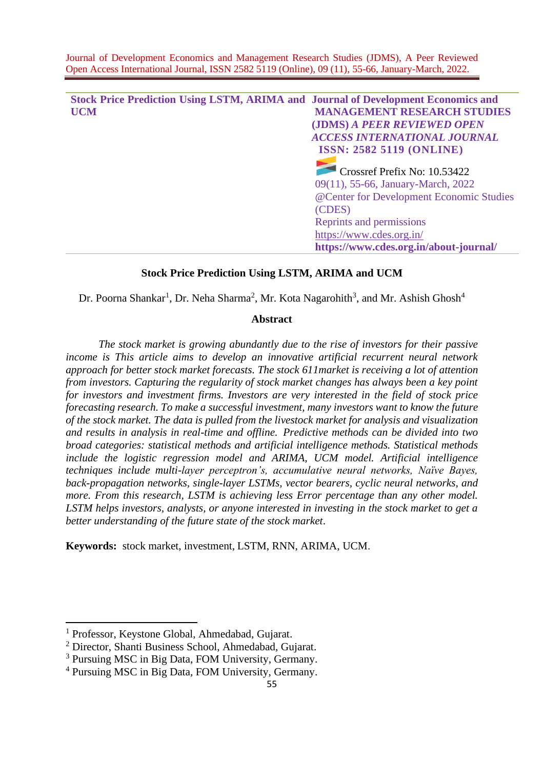**Stock Price Prediction Using LSTM, ARIMA and Journal of Development Economics and UCM MANAGEMENT RESEARCH STUDIES (JDMS)** *A PEER REVIEWED OPEN ACCESS INTERNATIONAL JOURNAL* **ISSN: 2582 5119 (ONLINE)** Crossref Prefix No: 10.53422 09(11), 55-66, January-March, 2022 @Center for Development Economic Studies (CDES) Reprints and permissions <https://www.cdes.org.in/> **https://www.cdes.org.in/about-journal/**

# **Stock Price Prediction Using LSTM, ARIMA and UCM**

Dr. Poorna Shankar<sup>1</sup>, Dr. Neha Sharma<sup>2</sup>, Mr. Kota Nagarohith<sup>3</sup>, and Mr. Ashish Ghosh<sup>4</sup>

# **Abstract**

*The stock market is growing abundantly due to the rise of investors for their passive income is This article aims to develop an innovative artificial recurrent neural network approach for better stock market forecasts. The stock 611market is receiving a lot of attention from investors. Capturing the regularity of stock market changes has always been a key point for investors and investment firms. Investors are very interested in the field of stock price forecasting research. To make a successful investment, many investors want to know the future of the stock market. The data is pulled from the livestock market for analysis and visualization and results in analysis in real-time and offline. Predictive methods can be divided into two broad categories: statistical methods and artificial intelligence methods. Statistical methods include the logistic regression model and ARIMA, UCM model. Artificial intelligence techniques include multi-layer perceptron's, accumulative neural networks, Naïve Bayes, back-propagation networks, single-layer LSTMs, vector bearers, cyclic neural networks, and more. From this research, LSTM is achieving less Error percentage than any other model. LSTM helps investors, analysts, or anyone interested in investing in the stock market to get a better understanding of the future state of the stock market*.

**Keywords:** stock market, investment, LSTM, RNN, ARIMA, UCM.

<sup>1</sup> Professor, Keystone Global, Ahmedabad, Gujarat.

<sup>2</sup> Director, Shanti Business School, Ahmedabad, Gujarat.

<sup>3</sup> Pursuing MSC in Big Data, FOM University, Germany.

<sup>4</sup> Pursuing MSC in Big Data, FOM University, Germany.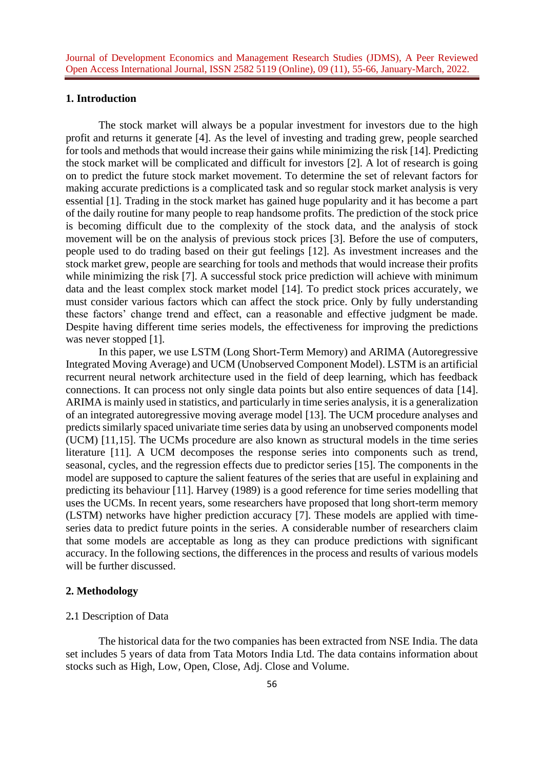# **1. Introduction**

The stock market will always be a popular investment for investors due to the high profit and returns it generate [4]. As the level of investing and trading grew, people searched for tools and methods that would increase their gains while minimizing the risk [14]. Predicting the stock market will be complicated and difficult for investors [2]. A lot of research is going on to predict the future stock market movement. To determine the set of relevant factors for making accurate predictions is a complicated task and so regular stock market analysis is very essential [1]. Trading in the stock market has gained huge popularity and it has become a part of the daily routine for many people to reap handsome profits. The prediction of the stock price is becoming difficult due to the complexity of the stock data, and the analysis of stock movement will be on the analysis of previous stock prices [3]. Before the use of computers, people used to do trading based on their gut feelings [12]. As investment increases and the stock market grew, people are searching for tools and methods that would increase their profits while minimizing the risk [7]. A successful stock price prediction will achieve with minimum data and the least complex stock market model [14]. To predict stock prices accurately, we must consider various factors which can affect the stock price. Only by fully understanding these factors' change trend and effect, can a reasonable and effective judgment be made. Despite having different time series models, the effectiveness for improving the predictions was never stopped [1].

In this paper, we use LSTM (Long Short-Term Memory) and ARIMA (Autoregressive Integrated Moving Average) and UCM (Unobserved Component Model). LSTM is an artificial recurrent neural network architecture used in the field of deep learning, which has feedback connections. It can process not only single data points but also entire sequences of data [14]. ARIMA is mainly used in statistics, and particularly in time series analysis, it is a generalization of an integrated autoregressive moving average model [13]. The UCM procedure analyses and predicts similarly spaced univariate time series data by using an unobserved components model (UCM) [11,15]. The UCMs procedure are also known as structural models in the time series literature [11]. A UCM decomposes the response series into components such as trend, seasonal, cycles, and the regression effects due to predictor series [15]. The components in the model are supposed to capture the salient features of the series that are useful in explaining and predicting its behaviour [11]. Harvey (1989) is a good reference for time series modelling that uses the UCMs. In recent years, some researchers have proposed that long short-term memory (LSTM) networks have higher prediction accuracy [7]. These models are applied with timeseries data to predict future points in the series. A considerable number of researchers claim that some models are acceptable as long as they can produce predictions with significant accuracy. In the following sections, the differences in the process and results of various models will be further discussed.

### **2. Methodology**

### 2**.**1 Description of Data

The historical data for the two companies has been extracted from NSE India. The data set includes 5 years of data from Tata Motors India Ltd. The data contains information about stocks such as High, Low, Open, Close, Adj. Close and Volume.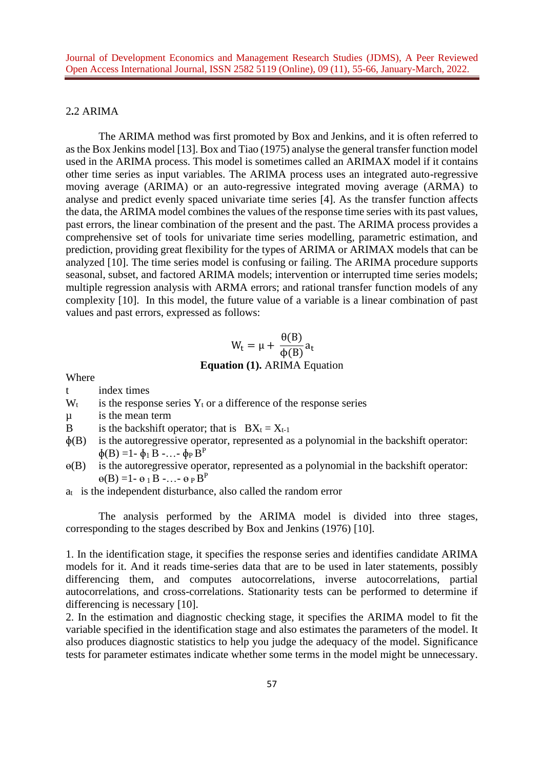### 2**.**2 ARIMA

The ARIMA method was first promoted by Box and Jenkins, and it is often referred to as the Box Jenkins model [13]. Box and Tiao (1975) analyse the general transfer function model used in the ARIMA process. This model is sometimes called an ARIMAX model if it contains other time series as input variables. The ARIMA process uses an integrated auto-regressive moving average (ARIMA) or an auto-regressive integrated moving average (ARMA) to analyse and predict evenly spaced univariate time series [4]. As the transfer function affects the data, the ARIMA model combines the values of the response time series with its past values, past errors, the linear combination of the present and the past. The ARIMA process provides a comprehensive set of tools for univariate time series modelling, parametric estimation, and prediction, providing great flexibility for the types of ARIMA or ARIMAX models that can be analyzed [10]. The time series model is confusing or failing. The ARIMA procedure supports seasonal, subset, and factored ARIMA models; intervention or interrupted time series models; multiple regression analysis with ARMA errors; and rational transfer function models of any complexity [10]. In this model, the future value of a variable is a linear combination of past values and past errors, expressed as follows:

#### $W_t = \mu +$  $\theta$ (B)  $\frac{\overline{A}}{\Phi(B)}a_t$ **Equation (1).** ARIMA Equation

Where

t index times

- $W_t$  is the response series  $Y_t$  or a difference of the response series
- µ is the mean term
- B is the backshift operator; that is  $BX_t = X_{t-1}$
- $\phi(B)$  is the autoregressive operator, represented as a polynomial in the backshift operator:  $\oint(B) = 1 - \oint_1 B - \dots - \oint_P B^P$
- ɵ(B) is the autoregressive operator, represented as a polynomial in the backshift operator:  $\Theta(B) = 1 - \Theta_1 B - \dots - \Theta_P B^P$
- $a_t$  is the independent disturbance, also called the random error

The analysis performed by the ARIMA model is divided into three stages, corresponding to the stages described by Box and Jenkins (1976) [10].

1. In the identification stage, it specifies the response series and identifies candidate ARIMA models for it. And it reads time-series data that are to be used in later statements, possibly differencing them, and computes autocorrelations, inverse autocorrelations, partial autocorrelations, and cross-correlations. Stationarity tests can be performed to determine if differencing is necessary [10].

2. In the estimation and diagnostic checking stage, it specifies the ARIMA model to fit the variable specified in the identification stage and also estimates the parameters of the model. It also produces diagnostic statistics to help you judge the adequacy of the model. Significance tests for parameter estimates indicate whether some terms in the model might be unnecessary.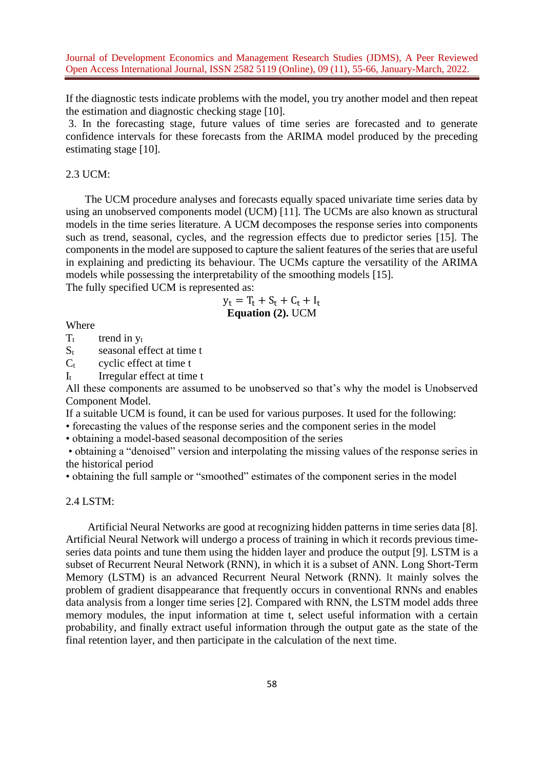If the diagnostic tests indicate problems with the model, you try another model and then repeat the estimation and diagnostic checking stage [10].

3. In the forecasting stage, future values of time series are forecasted and to generate confidence intervals for these forecasts from the ARIMA model produced by the preceding estimating stage [10].

### 2.3 UCM:

The UCM procedure analyses and forecasts equally spaced univariate time series data by using an unobserved components model (UCM) [11]. The UCMs are also known as structural models in the time series literature. A UCM decomposes the response series into components such as trend, seasonal, cycles, and the regression effects due to predictor series [15]. The components in the model are supposed to capture the salient features of the series that are useful in explaining and predicting its behaviour. The UCMs capture the versatility of the ARIMA models while possessing the interpretability of the smoothing models [15]. The fully specified UCM is represented as:

> $y_t = T_t + S_t + C_t + I_t$ **Equation (2).** UCM

Where

 $T_t$  trend in  $y_t$ 

 $S_t$  seasonal effect at time t

 $C_t$  cyclic effect at time t

I<sup>t</sup> Irregular effect at time t

All these components are assumed to be unobserved so that's why the model is Unobserved Component Model.

If a suitable UCM is found, it can be used for various purposes. It used for the following:

• forecasting the values of the response series and the component series in the model

• obtaining a model-based seasonal decomposition of the series

• obtaining a "denoised" version and interpolating the missing values of the response series in the historical period

• obtaining the full sample or "smoothed" estimates of the component series in the model

2.4 LSTM:

 Artificial Neural Networks are good at recognizing hidden patterns in time series data [8]. Artificial Neural Network will undergo a process of training in which it records previous timeseries data points and tune them using the hidden layer and produce the output [9]. LSTM is a subset of Recurrent Neural Network (RNN), in which it is a subset of ANN. Long Short-Term Memory (LSTM) is an advanced Recurrent Neural Network (RNN). It mainly solves the problem of gradient disappearance that frequently occurs in conventional RNNs and enables data analysis from a longer time series [2]. Compared with RNN, the LSTM model adds three memory modules, the input information at time t, select useful information with a certain probability, and finally extract useful information through the output gate as the state of the final retention layer, and then participate in the calculation of the next time.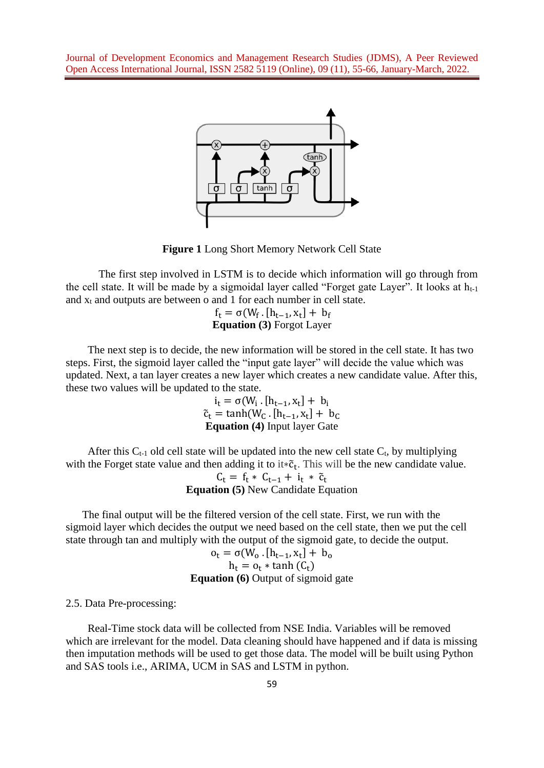

**Figure 1** Long Short Memory Network Cell State

The first step involved in LSTM is to decide which information will go through from the cell state. It will be made by a sigmoidal layer called "Forget gate Layer". It looks at  $h_{t-1}$ and  $x_t$  and outputs are between o and 1 for each number in cell state.

> $f_t = \sigma(W_f \cdot [h_{t-1}, x_t] + b_f)$ **Equation (3)** Forgot Layer

 The next step is to decide, the new information will be stored in the cell state. It has two steps. First, the sigmoid layer called the "input gate layer" will decide the value which was updated. Next, a tan layer creates a new layer which creates a new candidate value. After this, these two values will be updated to the state.

$$
i_t = \sigma(W_i \cdot [h_{t-1}, x_t] + b_i
$$
  
\n
$$
\tilde{c}_t = \tanh(W_C \cdot [h_{t-1}, x_t] + b_C
$$
  
\nEquation (4) Input layer Gate

After this  $C_{t-1}$  old cell state will be updated into the new cell state  $C_t$ , by multiplying with the Forget state value and then adding it to it $*\tilde{c}_t$ . This will be the new candidate value.

 $C_t = f_t * C_{t-1} + i_t * \tilde{c}_t$ **Equation (5)** New Candidate Equation

 The final output will be the filtered version of the cell state. First, we run with the sigmoid layer which decides the output we need based on the cell state, then we put the cell state through tan and multiply with the output of the sigmoid gate, to decide the output.

$$
o_t = \sigma(W_0 \cdot [h_{t-1}, x_t] + b_0)
$$
  
 
$$
h_t = o_t * \tanh(C_t)
$$
  
Equation (6) Output of sigmoid gate

2.5. Data Pre-processing:

 Real-Time stock data will be collected from NSE India. Variables will be removed which are irrelevant for the model. Data cleaning should have happened and if data is missing then imputation methods will be used to get those data. The model will be built using Python and SAS tools i.e., ARIMA, UCM in SAS and LSTM in python.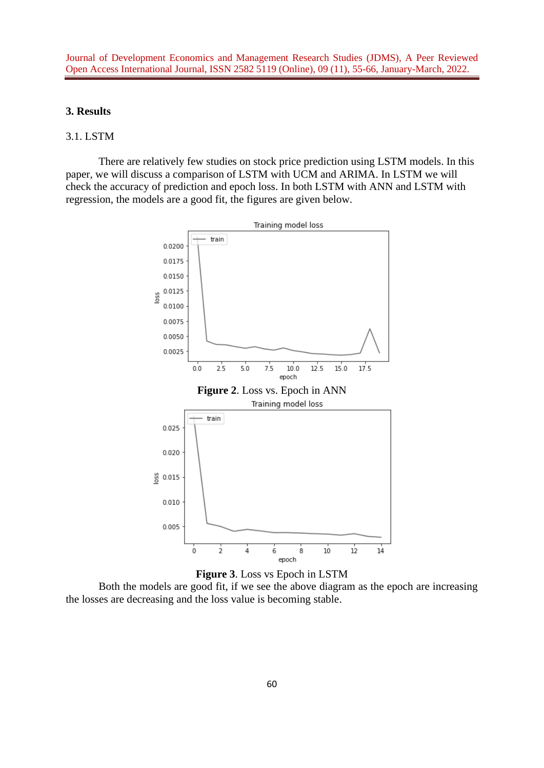# **3. Results**

# 3.1. LSTM

There are relatively few studies on stock price prediction using LSTM models. In this paper, we will discuss a comparison of LSTM with UCM and ARIMA. In LSTM we will check the accuracy of prediction and epoch loss. In both LSTM with ANN and LSTM with regression, the models are a good fit, the figures are given below.



**Figure 3**. Loss vs Epoch in LSTM

Both the models are good fit, if we see the above diagram as the epoch are increasing the losses are decreasing and the loss value is becoming stable.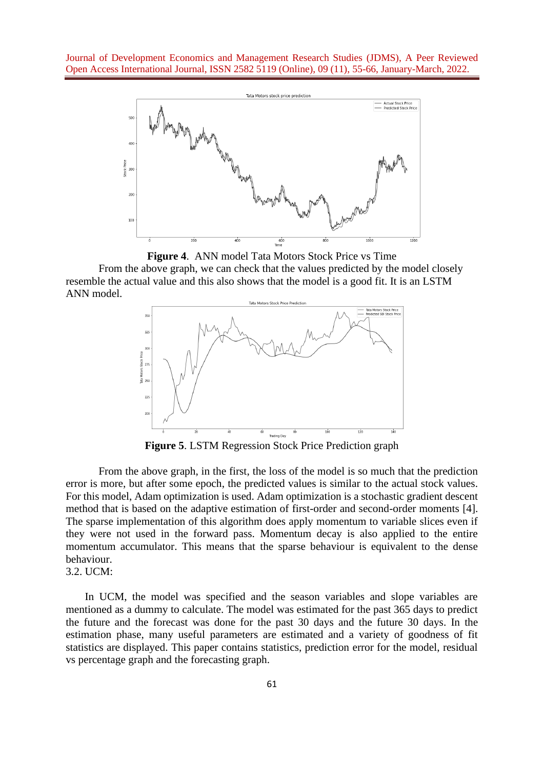

**Figure 4**. ANN model Tata Motors Stock Price vs Time

From the above graph, we can check that the values predicted by the model closely resemble the actual value and this also shows that the model is a good fit. It is an LSTM ANN model.



**Figure 5**. LSTM Regression Stock Price Prediction graph

From the above graph, in the first, the loss of the model is so much that the prediction error is more, but after some epoch, the predicted values is similar to the actual stock values. For this model, Adam optimization is used. Adam optimization is a stochastic gradient descent method that is based on the adaptive estimation of first-order and second-order moments [4]. The sparse implementation of this algorithm does apply momentum to variable slices even if they were not used in the forward pass. Momentum decay is also applied to the entire momentum accumulator. This means that the sparse behaviour is equivalent to the dense behaviour. 3.2. UCM:

 In UCM, the model was specified and the season variables and slope variables are mentioned as a dummy to calculate. The model was estimated for the past 365 days to predict the future and the forecast was done for the past 30 days and the future 30 days. In the estimation phase, many useful parameters are estimated and a variety of goodness of fit statistics are displayed. This paper contains statistics, prediction error for the model, residual vs percentage graph and the forecasting graph.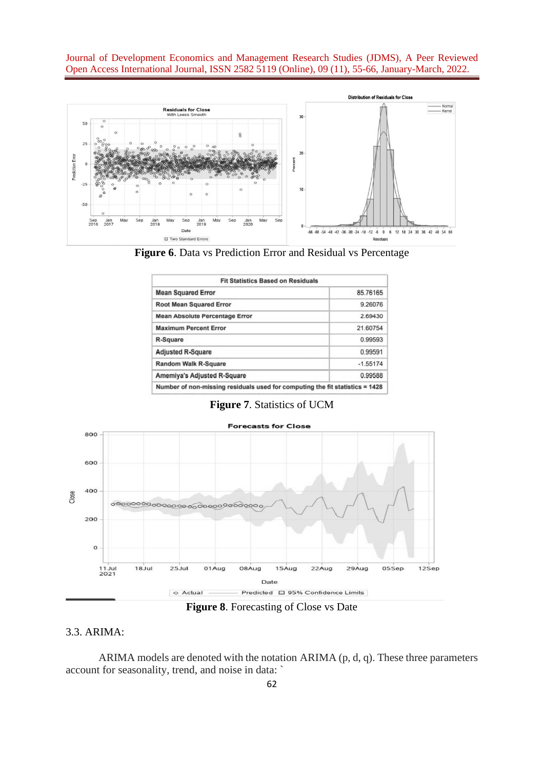



| <b>Fit Statistics Based on Residuals</b>                                     |            |  |  |  |
|------------------------------------------------------------------------------|------------|--|--|--|
| <b>Mean Squared Error</b>                                                    | 85.76165   |  |  |  |
| <b>Root Mean Squared Error</b>                                               | 9.26076    |  |  |  |
| <b>Mean Absolute Percentage Error</b>                                        | 2.69430    |  |  |  |
| <b>Maximum Percent Error</b>                                                 | 21.60754   |  |  |  |
| R-Square                                                                     | 0.99593    |  |  |  |
| <b>Adjusted R-Square</b>                                                     | 0.99591    |  |  |  |
| <b>Random Walk R-Square</b>                                                  | $-1.55174$ |  |  |  |
| Amemiya's Adjusted R-Square                                                  | 0.99588    |  |  |  |
| Number of non-missing residuals used for computing the fit statistics = 1428 |            |  |  |  |

**Figure 7**. Statistics of UCM



**Figure 8**. Forecasting of Close vs Date

#### 3.3. ARIMA:

ARIMA models are denoted with the notation ARIMA (p, d, q). These three parameters account for seasonality, trend, and noise in data: `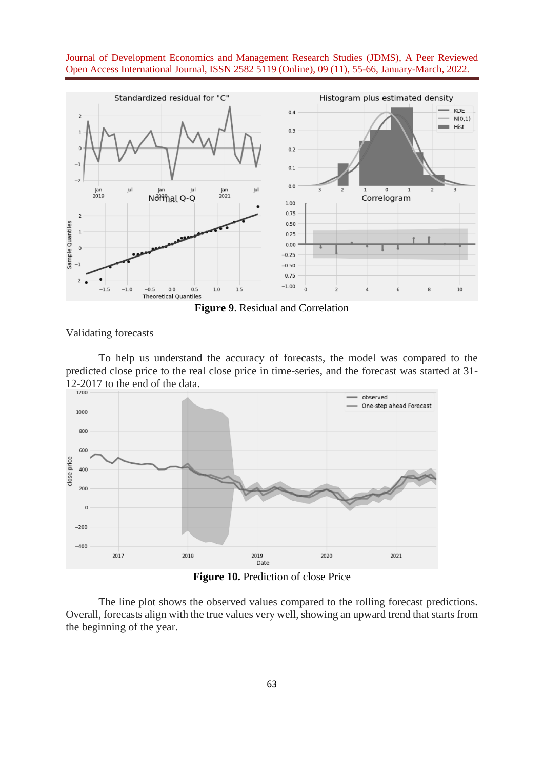

**Figure 9**. Residual and Correlation

Validating forecasts

To help us understand the accuracy of forecasts, the model was compared to the predicted close price to the real close price in time-series, and the forecast was started at 31- 12-2017 to the end of the data.



**Figure 10.** Prediction of close Price

The line plot shows the observed values compared to the rolling forecast predictions. Overall, forecasts align with the true values very well, showing an upward trend that starts from the beginning of the year.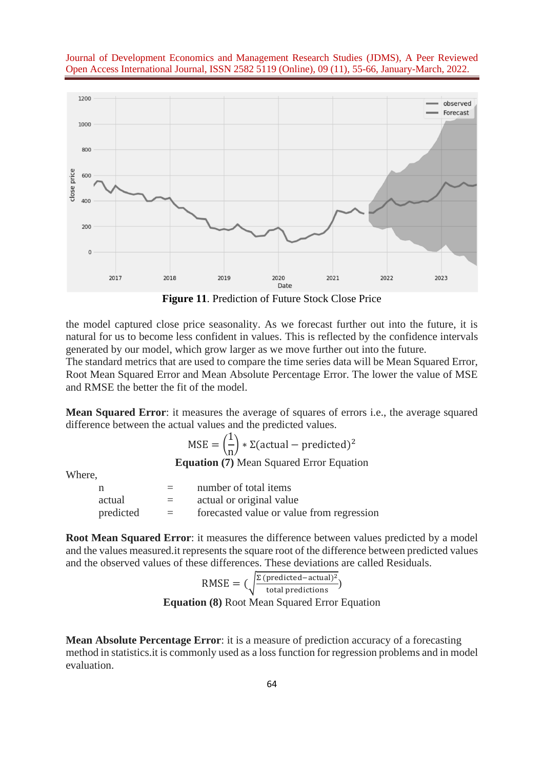



**Figure 11**. Prediction of Future Stock Close Price

the model captured close price seasonality. As we forecast further out into the future, it is natural for us to become less confident in values. This is reflected by the confidence intervals generated by our model, which grow larger as we move further out into the future.

The standard metrics that are used to compare the time series data will be Mean Squared Error, Root Mean Squared Error and Mean Absolute Percentage Error. The lower the value of MSE and RMSE the better the fit of the model.

**Mean Squared Error**: it measures the average of squares of errors i.e., the average squared difference between the actual values and the predicted values.

> $MSE = ($ 1 n  $\int \times \Sigma$ (actual – predicted)<sup>2</sup> **Equation (7)** Mean Squared Error Equation

Where,

| n         | $=$     | number of total items                     |
|-----------|---------|-------------------------------------------|
| actual    | $=$     | actual or original value                  |
| predicted | $=$ $-$ | forecasted value or value from regression |

**Root Mean Squared Error**: it measures the difference between values predicted by a model and the values measured.it represents the square root of the difference between predicted values and the observed values of these differences. These deviations are called Residuals.

RMSE = 
$$
(\sqrt{\frac{\Sigma \text{ (predicted - actual})^2}{\text{total predictions}}})
$$
  
Equation (8) Root Mean Squared Error Equation

**Equation (8)** Root Mean Squared Error Equation

**Mean Absolute Percentage Error**: it is a measure of prediction accuracy of a forecasting method in statistics.it is commonly used as a loss function for regression problems and in model evaluation.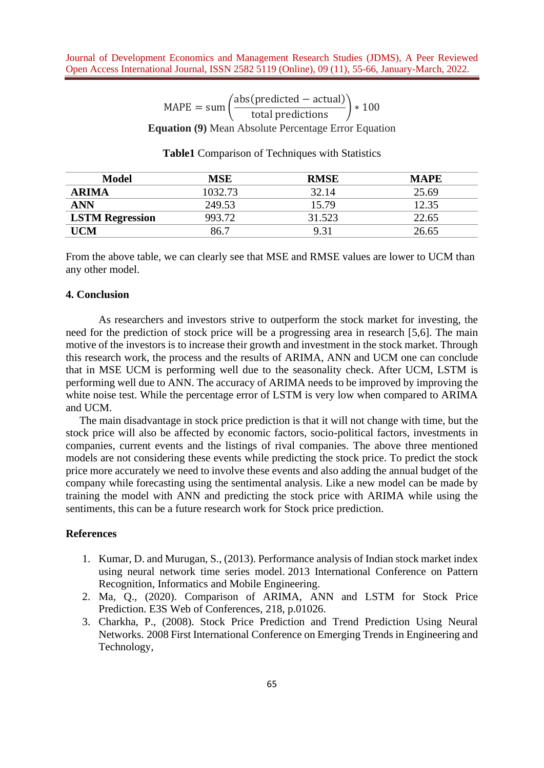$$
MAPE = sum \left(\frac{abs(predicted - actual)}{total predictions}\right) * 100
$$
  
Equation (9) Mean Absolute Percentage Error Equation

**Table1** Comparison of Techniques with Statistics

| Model                  | MSE     | <b>RMSE</b> | <b>MAPE</b> |
|------------------------|---------|-------------|-------------|
| <b>ARIMA</b>           | 1032.73 | 32.14       | 25.69       |
| <b>ANN</b>             | 249.53  | 15.79       | 12.35       |
| <b>LSTM Regression</b> | 993.72  | 31.523      | 22.65       |
| UCM                    | 86.7    | 9.31        | 26.65       |

From the above table, we can clearly see that MSE and RMSE values are lower to UCM than any other model.

### **4. Conclusion**

As researchers and investors strive to outperform the stock market for investing, the need for the prediction of stock price will be a progressing area in research [5,6]. The main motive of the investors is to increase their growth and investment in the stock market. Through this research work, the process and the results of ARIMA, ANN and UCM one can conclude that in MSE UCM is performing well due to the seasonality check. After UCM, LSTM is performing well due to ANN. The accuracy of ARIMA needs to be improved by improving the white noise test. While the percentage error of LSTM is very low when compared to ARIMA and UCM.

 The main disadvantage in stock price prediction is that it will not change with time, but the stock price will also be affected by economic factors, socio-political factors, investments in companies, current events and the listings of rival companies. The above three mentioned models are not considering these events while predicting the stock price. To predict the stock price more accurately we need to involve these events and also adding the annual budget of the company while forecasting using the sentimental analysis. Like a new model can be made by training the model with ANN and predicting the stock price with ARIMA while using the sentiments, this can be a future research work for Stock price prediction.

# **References**

- 1. Kumar, D. and Murugan, S., (2013). Performance analysis of Indian stock market index using neural network time series model. 2013 International Conference on Pattern Recognition, Informatics and Mobile Engineering.
- 2. Ma, Q., (2020). Comparison of ARIMA, ANN and LSTM for Stock Price Prediction. E3S Web of Conferences, 218, p.01026.
- 3. Charkha, P., (2008). Stock Price Prediction and Trend Prediction Using Neural Networks. 2008 First International Conference on Emerging Trends in Engineering and Technology,